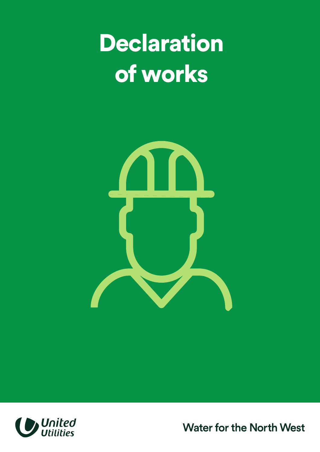Declaration of works





**Water for the North West**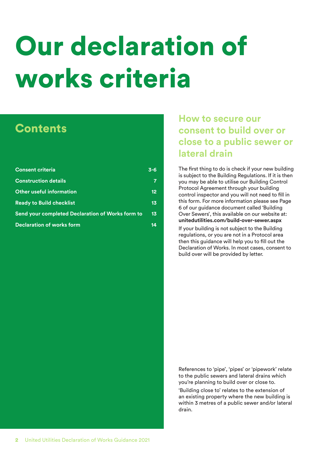# Our declaration of works criteria

## **Contents**

| <b>Consent criteria</b>                          | $3 - 6$         |
|--------------------------------------------------|-----------------|
| <b>Construction details</b>                      | 7               |
| <b>Other useful information</b>                  | 12 <sub>2</sub> |
| <b>Ready to Build checklist</b>                  | 13 <sub>1</sub> |
| Send your completed Declaration of Works form to | 13 <sub>1</sub> |
| <b>Declaration of works form</b>                 | 14              |

#### **How to secure our consent to build over or close to a public sewer or lateral drain**

The first thing to do is check if your new building is subject to the Building Regulations. If it is then you may be able to utilise our Building Control Protocol Agreement through your building control inspector and you will not need to fill in this form. For more information please see Page 6 of our guidance document called 'Building Over Sewers', this available on our website at: **[unitedutilities.com/build-over-sewer.aspx](www.unitedutilities.com/build-over-sewer.aspx)** 

If your building is not subject to the Building regulations, or you are not in a Protocol area then this guidance will help you to fill out the Declaration of Works. In most cases, consent to build over will be provided by letter.

References to 'pipe', 'pipes' or 'pipework' relate to the public sewers and lateral drains which you're planning to build over or close to.

'Building close to' relates to the extension of an existing property where the new building is within 3 metres of a public sewer and/or lateral drain.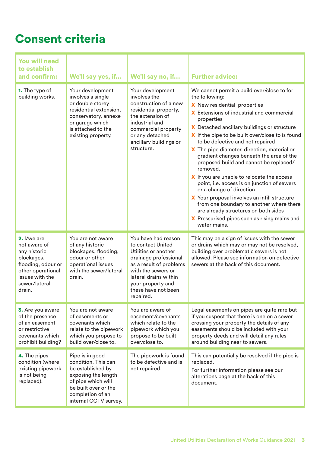### Consent criteria

| <b>You will need</b><br>to establish<br>and confirm:                                                                                               | We'll say yes, if                                                                                                                                                             | We'll say no, if                                                                                                                                                                                                             | <b>Further advice:</b>                                                                                                                                                                                                                                                                                                                                                                                                                                                                                                                                                                                                                                                                                                                                                               |
|----------------------------------------------------------------------------------------------------------------------------------------------------|-------------------------------------------------------------------------------------------------------------------------------------------------------------------------------|------------------------------------------------------------------------------------------------------------------------------------------------------------------------------------------------------------------------------|--------------------------------------------------------------------------------------------------------------------------------------------------------------------------------------------------------------------------------------------------------------------------------------------------------------------------------------------------------------------------------------------------------------------------------------------------------------------------------------------------------------------------------------------------------------------------------------------------------------------------------------------------------------------------------------------------------------------------------------------------------------------------------------|
| 1. The type of<br>building works.                                                                                                                  | Your development<br>involves a single<br>or double storey<br>residential extension,<br>conservatory, annexe<br>or garage which<br>is attached to the<br>existing property.    | Your development<br>involves the<br>construction of a new<br>residential property,<br>the extension of<br>industrial and<br>commercial property<br>or any detached<br>ancillary buildings or<br>structure.                   | We cannot permit a build over/close to for<br>the following:-<br>X New residential properties<br><b>X</b> Extensions of industrial and commercial<br>properties<br>X Detached ancillary buildings or structure<br>X If the pipe to be built over/close to is found<br>to be defective and not repaired<br>X The pipe diameter, direction, material or<br>gradient changes beneath the area of the<br>proposed build and cannot be replaced/<br>removed.<br>X If you are unable to relocate the access<br>point, i.e. access is on junction of sewers<br>or a change of direction<br>X Your proposal involves an infill structure<br>from one boundary to another where there<br>are already structures on both sides<br>X Pressurised pipes such as rising mains and<br>water mains. |
| 2. I/we are<br>not aware of<br>any historic<br>blockages,<br>flooding, odour or<br>other operational<br>issues with the<br>sewer/lateral<br>drain. | You are not aware<br>of any historic<br>blockages, flooding,<br>odour or other<br>operational issues<br>with the sewer/lateral<br>drain.                                      | You have had reason<br>to contact United<br>Utilities or another<br>drainage professional<br>as a result of problems<br>with the sewers or<br>lateral drains within<br>your property and<br>these have not been<br>repaired. | This may be a sign of issues with the sewer<br>or drains which may or may not be resolved,<br>building over problematic sewers is not<br>allowed. Please see information on defective<br>sewers at the back of this document.                                                                                                                                                                                                                                                                                                                                                                                                                                                                                                                                                        |
| 3. Are you aware<br>of the presence<br>of an easement<br>or restrictive<br>covenants which<br>prohibit building?                                   | You are not aware<br>of easements or<br>covenants which<br>relate to the pipework<br>which you propose to<br>build over/close to.                                             | You are aware of<br>easement/covenants<br>which relate to the<br>pipework which you<br>propose to be built<br>over/close to.                                                                                                 | Legal easements on pipes are quite rare but<br>if you suspect that there is one on a sewer<br>crossing your property the details of any<br>easements should be included with your<br>property deeds and will detail any rules<br>around building near to sewers.                                                                                                                                                                                                                                                                                                                                                                                                                                                                                                                     |
| 4. The pipes<br>condition (where<br>existing pipework<br>is not being<br>replaced).                                                                | Pipe is in good<br>condition. This can<br>be established by<br>exposing the length<br>of pipe which will<br>be built over or the<br>completion of an<br>internal CCTV survey. | The pipework is found<br>to be defective and is<br>not repaired.                                                                                                                                                             | This can potentially be resolved if the pipe is<br>replaced.<br>For further information please see our<br>alterations page at the back of this<br>document.                                                                                                                                                                                                                                                                                                                                                                                                                                                                                                                                                                                                                          |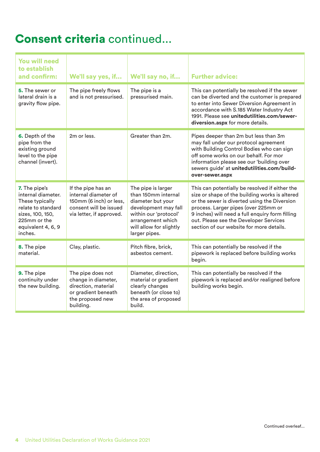### Consent criteria continued...

| <b>You will need</b><br>to establish<br>and confirm:                                                                                              | We'll say yes, if                                                                                                           | We'll say no, if                                                                                                                                                                 | <b>Further advice:</b>                                                                                                                                                                                                                                                                                                            |
|---------------------------------------------------------------------------------------------------------------------------------------------------|-----------------------------------------------------------------------------------------------------------------------------|----------------------------------------------------------------------------------------------------------------------------------------------------------------------------------|-----------------------------------------------------------------------------------------------------------------------------------------------------------------------------------------------------------------------------------------------------------------------------------------------------------------------------------|
| 5. The sewer or<br>lateral drain is a<br>gravity flow pipe.                                                                                       | The pipe freely flows<br>and is not pressurised.                                                                            | The pipe is a<br>pressurised main.                                                                                                                                               | This can potentially be resolved if the sewer<br>can be diverted and the customer is prepared<br>to enter into Sewer Diversion Agreement in<br>accordance with S.185 Water Industry Act<br>1991. Please see unitedutilities.com/sewer-<br>diversion.aspx for more details.                                                        |
| 6. Depth of the<br>pipe from the<br>existing ground<br>level to the pipe<br>channel (invert).                                                     | 2m or less.                                                                                                                 | Greater than 2m.                                                                                                                                                                 | Pipes deeper than 2m but less than 3m<br>may fall under our protocol agreement<br>with Building Control Bodies who can sign<br>off some works on our behalf. For mor<br>information please see our 'building over<br>sewers guide' at unitedutilities.com/build-<br>over-sewer.aspx                                               |
| 7. The pipe's<br>internal diameter.<br>These typically<br>relate to standard<br>sizes, 100, 150,<br>225mm or the<br>equivalent 4, 6, 9<br>inches. | If the pipe has an<br>internal diameter of<br>150mm (6 inch) or less,<br>consent will be issued<br>via letter, if approved. | The pipe is larger<br>than 150mm internal<br>diameter but your<br>development may fall<br>within our 'protocol'<br>arrangement which<br>will allow for slightly<br>larger pipes. | This can potentially be resolved if either the<br>size or shape of the building works is altered<br>or the sewer is diverted using the Diversion<br>process. Larger pipes (over 225mm or<br>9 inches) will need a full enquiry form filling<br>out. Please see the Developer Services<br>section of our website for more details. |
| 8. The pipe<br>material.                                                                                                                          | Clay, plastic.                                                                                                              | Pitch fibre, brick,<br>asbestos cement.                                                                                                                                          | This can potentially be resolved if the<br>pipework is replaced before building works<br>begin.                                                                                                                                                                                                                                   |
| 9. The pipe<br>continuity under<br>the new building.                                                                                              | The pipe does not<br>change in diameter,<br>direction, material<br>or gradient beneath<br>the proposed new<br>building.     | Diameter, direction,<br>material or gradient<br>clearly changes<br>beneath (or close to)<br>the area of proposed<br>build.                                                       | This can potentially be resolved if the<br>pipework is replaced and/or realigned before<br>building works begin.                                                                                                                                                                                                                  |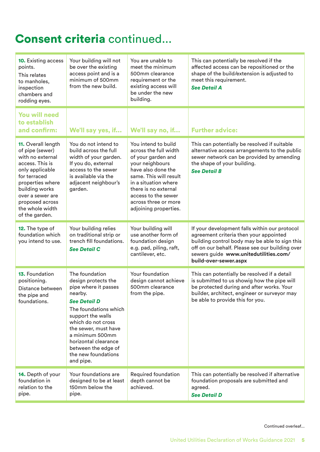## Consent criteria continued...

| <b>10.</b> Existing access<br>points.<br>This relates<br>to manholes,<br>inspection<br>chambers and<br>rodding eyes.                                                                                                              | Your building will not<br>be over the existing<br>access point and is a<br>minimum of 500mm<br>from the new build.                                                                                                                                                                                | You are unable to<br>meet the minimum<br>500mm clearance<br>requirement or the<br>existing access will<br>be under the new<br>building.                                                                                                                       | This can potentially be resolved if the<br>affected access can be repositioned or the<br>shape of the build/extension is adjusted to<br>meet this requirement.<br><b>See Detail A</b>                                                                          |
|-----------------------------------------------------------------------------------------------------------------------------------------------------------------------------------------------------------------------------------|---------------------------------------------------------------------------------------------------------------------------------------------------------------------------------------------------------------------------------------------------------------------------------------------------|---------------------------------------------------------------------------------------------------------------------------------------------------------------------------------------------------------------------------------------------------------------|----------------------------------------------------------------------------------------------------------------------------------------------------------------------------------------------------------------------------------------------------------------|
| <b>You will need</b><br>to establish<br>and confirm:                                                                                                                                                                              | We'll say yes, if                                                                                                                                                                                                                                                                                 | We'll say no, if                                                                                                                                                                                                                                              | <b>Further advice:</b>                                                                                                                                                                                                                                         |
| 11. Overall length<br>of pipe (sewer)<br>with no external<br>access. This is<br>only applicable<br>for terraced<br>properties where<br>building works<br>over a sewer are<br>proposed across<br>the whole width<br>of the garden. | You do not intend to<br>build across the full<br>width of your garden.<br>If you do, external<br>access to the sewer<br>is available via the<br>adjacent neighbour's<br>garden.                                                                                                                   | You intend to build<br>across the full width<br>of your garden and<br>your neighbours<br>have also done the<br>same. This will result<br>in a situation where<br>there is no external<br>access to the sewer<br>across three or more<br>adjoining properties. | This can potentially be resolved if suitable<br>alternative access arrangements to the public<br>sewer network can be provided by amending<br>the shape of your building.<br><b>See Detail B</b>                                                               |
| 12. The type of<br>foundation which<br>you intend to use.                                                                                                                                                                         | Your building relies<br>on traditional strip or<br>trench fill foundations.<br><b>See Detail C</b>                                                                                                                                                                                                | Your building will<br>use another form of<br>foundation design<br>e.g. pad, piling, raft,<br>cantilever, etc.                                                                                                                                                 | If your development falls within our protocol<br>agreement criteria then your appointed<br>building control body may be able to sign this<br>off on our behalf. Please see our building over<br>sewers guide www.unitedutilities.com/<br>build-over-sewer.aspx |
| 13. Foundation<br>positioning.<br>Distance between<br>the pipe and<br>foundations.                                                                                                                                                | The foundation<br>design protects the<br>pipe where it passes<br>nearby.<br><b>See Detail D</b><br>The foundations which<br>support the walls<br>which do not cross<br>the sewer, must have<br>a minimum 500mm<br>horizontal clearance<br>between the edge of<br>the new foundations<br>and pipe. | Your foundation<br>design cannot achieve<br>500mm clearance<br>from the pipe.                                                                                                                                                                                 | This can potentially be resolved if a detail<br>is submitted to us showig how the pipe will<br>be protected during and after works. Your<br>builder, architect, engineer or surveyor may<br>be able to provide this for you.                                   |
| 14. Depth of your<br>foundation in<br>relation to the<br>pipe.                                                                                                                                                                    | Your foundations are<br>designed to be at least<br>150mm below the<br>pipe.                                                                                                                                                                                                                       | Required foundation<br>depth cannot be<br>achieved.                                                                                                                                                                                                           | This can potentially be resolved if alternative<br>foundation proposals are submitted and<br>agreed.<br><b>See Detail D</b>                                                                                                                                    |

Continued overleaf...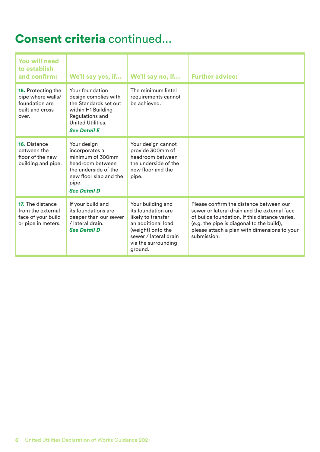### Consent criteria continued...

| <b>You will need</b><br>to establish<br>and confirm:                                     | We'll say yes, if                                                                                                                                       | We'll say no, if                                                                                                                                                    | <b>Further advice:</b>                                                                                                                                                                                                                                |
|------------------------------------------------------------------------------------------|---------------------------------------------------------------------------------------------------------------------------------------------------------|---------------------------------------------------------------------------------------------------------------------------------------------------------------------|-------------------------------------------------------------------------------------------------------------------------------------------------------------------------------------------------------------------------------------------------------|
| 15. Protecting the<br>pipe where walls/<br>foundation are<br>built and cross<br>over.    | Your foundation<br>design complies with<br>the Standards set out<br>within H1 Building<br>Regulations and<br>United Utilities.<br><b>See Detail E</b>   | The minimum lintel<br>requirements cannot<br>be achieved.                                                                                                           |                                                                                                                                                                                                                                                       |
| <b>16.</b> Distance<br>between the<br>floor of the new<br>building and pipe.             | Your design<br>incorporates a<br>minimum of 300mm<br>headroom between<br>the underside of the<br>new floor slab and the<br>pipe.<br><b>See Detail D</b> | Your design cannot<br>provide 300mm of<br>headroom between<br>the underside of the<br>new floor and the<br>pipe.                                                    |                                                                                                                                                                                                                                                       |
| <b>17.</b> The distance<br>from the external<br>face of your build<br>or pipe in meters. | If your build and<br>its foundations are<br>deeper than our sewer<br>/ lateral drain.<br><b>See Detail D</b>                                            | Your building and<br>its foundation are<br>likely to transfer<br>an additional load<br>(weight) onto the<br>sewer / lateral drain<br>via the surrounding<br>ground. | Please confirm the distance between our<br>sewer or lateral drain and the external face<br>of builds foundation. If this distance varies,<br>(e.g. the pipe is diagonal to the build),<br>please attach a plan with dimensions to your<br>submission. |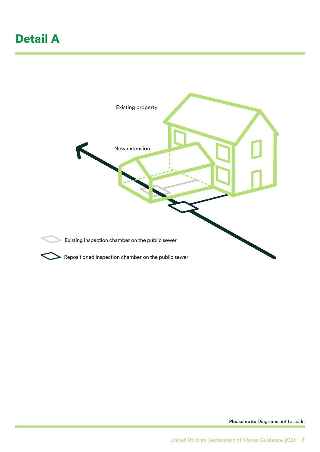### Detail A



**Please note:** Diagrams not to scale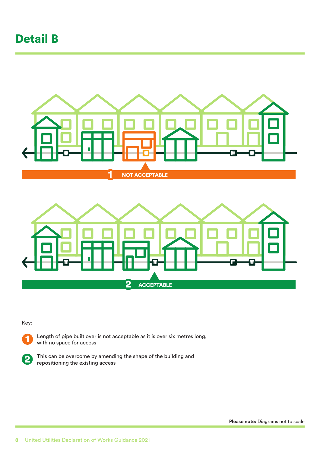#### Detail B



Key:



2

Length of pipe built over is not acceptable as it is over six metres long, with no space for access

e This This can be overcome by amending the shape of the building and repositioning the existing access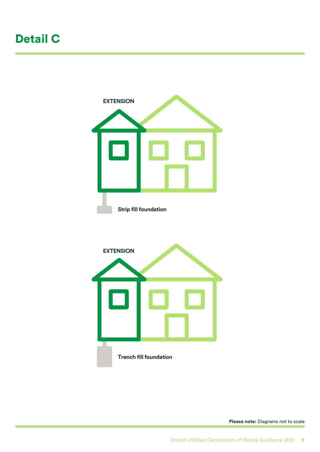### Detail C



**Please note:** Diagrams not to scale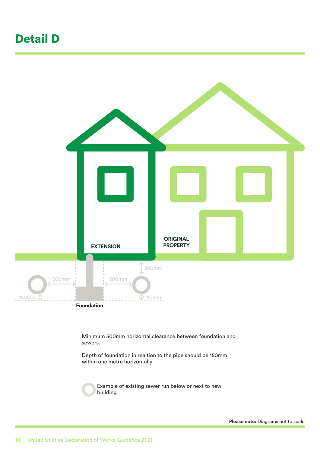#### Detail D



Depth of foundation in realtion to the pipe should be 150mm within one metre horizontally

> Example of existing sewer run below or next to new building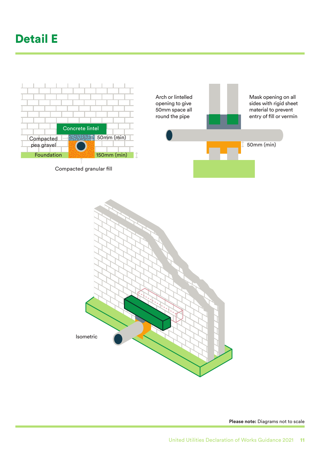### Detail E





**Please note:** Diagrams not to scale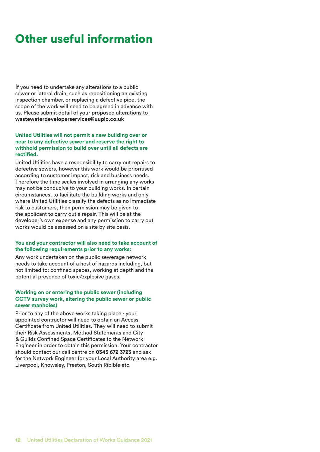#### Other useful information

If you need to undertake any alterations to a public sewer or lateral drain, such as repositioning an existing inspection chamber, or replacing a defective pipe, the scope of the work will need to be agreed in advance with us. Please submit detail of your proposed alterations to **[wastewaterdeveloperservices@uuplc.co.uk](mailto:wastewaterdeveloperservices@uuplc.co.uk)** 

#### **United Utilities will not permit a new building over or near to any defective sewer and reserve the right to withhold permission to build over until all defects are rectified.**

United Utilities have a responsibility to carry out repairs to defective sewers, however this work would be prioritised according to customer impact, risk and business needs. Therefore the time scales involved in arranging any works may not be conducive to your building works. In certain circumstances, to facilitate the building works and only where United Utilities classify the defects as no immediate risk to customers, then permission may be given to the applicant to carry out a repair. This will be at the developer's own expense and any permission to carry out works would be assessed on a site by site basis.

#### **You and your contractor will also need to take account of the following requirements prior to any works:**

Any work undertaken on the public sewerage network needs to take account of a host of hazards including, but not limited to: confined spaces, working at depth and the potential presence of toxic/explosive gases.

#### **Working on or entering the public sewer (including CCTV survey work, altering the public sewer or public sewer manholes)**

Prior to any of the above works taking place - your appointed contractor will need to obtain an Access Certificate from United Utilities. They will need to submit their Risk Assessments, Method Statements and City & Guilds Confined Space Certificates to the Network Engineer in order to obtain this permission. Your contractor should contact our call centre on **0345 672 3723** and ask for the Network Engineer for your Local Authority area e.g. Liverpool, Knowsley, Preston, South Riblble etc.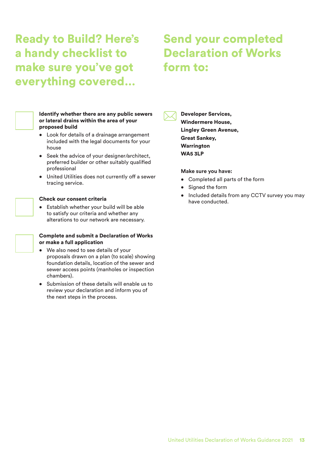**Ready to Build? Here's Send your completed** a handy checklist to Declaration of Works make sure you've got form to: everything covered…



#### or lateral drains within the area of your<br>proposed build Identify whether there are any public sewers proposed build

- Look for details of a drainage arrangement included with the legal documents for your house
- Seek the advice of your designer/architect, preferred builder or other suitably qualified professional
- United Utilities does not currently off a sewer tracing service.

#### Check our consent criteria

• Establish whether your build will be able<br>to satisfy our criteria and whether any<br>elterations to our patwork are pooseseny to satisfy our criteria and whether any alterations to our network are necessary.

#### Complete and submit a Declaration of Works

- or make a full application<br>• We also need to see de • We also need to see details of your proposals drawn on a plan (to scale) showing foundation details, location of the sewer and sewer access points (manholes or inspection chambers).
	- Submission of these details will enable us to review your declaration and inform you of the next steps in the process.



Developer Services, Windermere House, Lingley Green Avenue, Great Sankey, **Warrington** WA5 3LP

#### **Make sure you have:**

- Completed all parts of the form
- Signed the form
- Included details from any CCTV survey you may have conducted.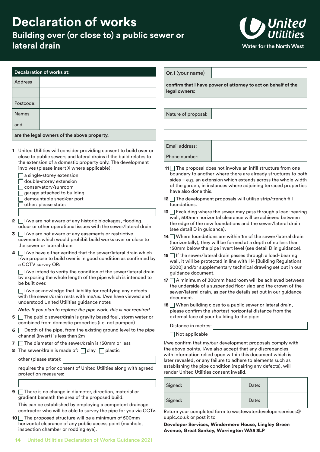#### **Declaration of works Building over (or close to) a public sewer or lateral drain**



| <b>Decalaration of works at:</b> |  |
|----------------------------------|--|
|                                  |  |

| Address   |  |
|-----------|--|
|           |  |
| Postcode: |  |
| Names     |  |
| and       |  |
|           |  |

**are the legal owners of the above property.** 

- 1 United Utilities will consider providing consent to build over or close to public sewers and lateral drains if the build relates to the extension of a domestic property only. The development involves (please insert X where applicable):
	- $\Box$  a single-storey extension
	- $\Box$  double-storey extension
	- □ conservatory/sunroom
	- $\Box$  garage attached to building
	- $\Box$  demountable shed/car port  $\Box$  12  $\Box$  T
	- $\Box$  other: please state:
- **2**  $\Box$  I/we are not aware of any historic blockages, flooding, odour or other operational issues with the sewer/lateral drain
- $\Box$  The are not aware of any easements or restrictive<br>covenants which would prohibit build works over or close to  $\overline{\phantom{a}}^{(k)}$  $\overline{3}$   $\Box$  I/we are not aware of any easements or restrictive the sewer or lateral drain
- **4**  $\Box$  I/we have either verified that the sewer/lateral drain which  $\Box$  If  $\Box$  If I/we propose to build over is in good condition as confirmed by a CCTV survey OR:

 $\Box$  I/we intend to verify the condition of the sewer/lateral drain by exposing the whole length of the pipe which is intended to be built over.

 $\Box$  I/we acknowledge that liability for rectifying any defects with the sewer/drain rests with me/us. I/we have viewed and understood United Utilities guidance notes

*Note. If you plan to replace the pipe work, this is not required.* 

- **5**  $\Box$  The public sewer/drain is gravity based foul, storm water or combined from domestic properties (i.e. not pumped)
- 6  $\Box$  Depth of the pipe, from the existing ground level to the pipe<br>channel (invert) is less than 2m channel (invert) is less than 2m
- **7**  $\Box$  The diameter of the sewer/drain is 150mm or less
- **8** The sewer/drain is made of:  $\Box$  clay  $\Box$  plastic

other (please state):

requires the prior consent of United Utilities along with agreed protection measures:

**9** □ There is no change in diameter, direction, material or gradient beneath the area of the proposed build.

contractor who will be able to survey the pipe for you via CCTv. This can be established by employing a competent drainage

**10**  $\Box$  The proposed structure will be a minimum of 500mm uuplc.co.uk or post it to horizontal clearance of any public access point (manhole, **Developer Services, Windermere House, Lingley Green**<br> **Avenue, Great Sankey, Warrington WA5 3LP** 

| Or, I (your name)                                                              |  |  |  |
|--------------------------------------------------------------------------------|--|--|--|
| confirm that I have power of attorney to act on behalf of the<br>legal owners: |  |  |  |
|                                                                                |  |  |  |
| Nature of proposal:                                                            |  |  |  |
|                                                                                |  |  |  |
|                                                                                |  |  |  |
| Email address:                                                                 |  |  |  |
| Phone number:                                                                  |  |  |  |

- **11** $\Box$  The proposal does not involve an infill structure from one boundary to another where there are already structures to both sides – e.g. an extension which extends across the whole width of the garden, in instances where adjoining terraced properties have also done this.
- $12$  The development proposals will utilise strip/trench fill foundations.
- **13**  $\Box$  Excluding where the sewer may pass through a load-bearing wall, 500mm horizontal clearance will be achieved between the edge of the new foundations and the sewer/lateral drain (see detail D in guidance).
- $14$  Where foundations are within 1m of the sewer/lateral drain (horizontally), they will be formed at a depth of no less than 150mm below the pipe invert level (see detail D in guidance).
- **15**  $\Box$  If the sewer/lateral drain passes through a load- bearing wall, it will be protected in line with H4 [Building Regulations 2000] and/or supplementary technical drawing set out in our guidance document.
- **17**  $\Box$  A minimum of 300mm headroom will be achieved between the underside of a suspended floor slab and the crown of the sewer/lateral drain, as per the details set out in our guidance document.
- **18**  $\Box$  When building close to a public sewer or lateral drain, please confirm the shortest horizontal distance from the external face of your building to the pipe:

Distance in metres:

Not applicable

involve (incluster interaction). The proposal does not involve to the pipe incluster and the survey the traction of the contraction of the survey the survey the survey the survey of the contraction of the survey of the su I/we confirm that my/our development proposals comply with the above points. I/we also accept that any discrepancies with information relied upon within this document which is later revealed, or any failure to adhere to elements such as establishing the pipe condition (repairing any defects), will render United Utilities consent invalid.

| Signed: | Date: |  |
|---------|-------|--|
| Signed: | Date: |  |

Return your completed form to wastewaterdeveloperservices@

Avenue, Great Sankey, Warrington WA5 3LP